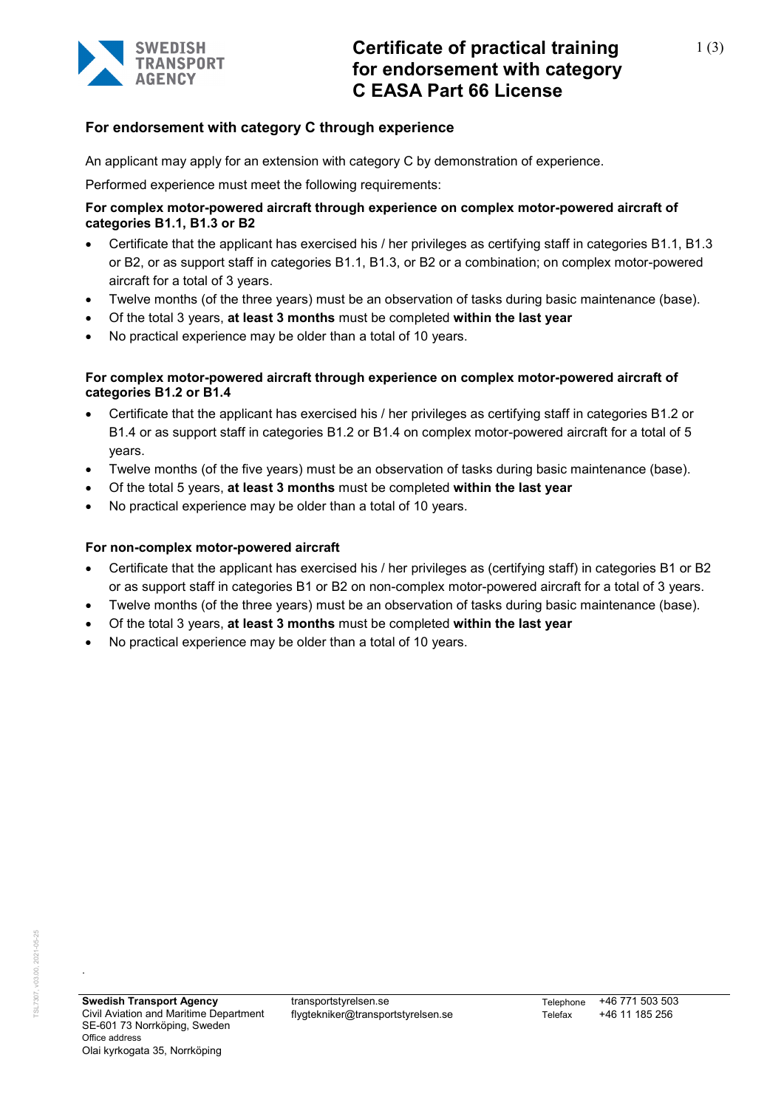

# **For endorsement with category C through experience**

An applicant may apply for an extension with category C by demonstration of experience.

Performed experience must meet the following requirements:

# **For complex motor-powered aircraft through experience on complex motor-powered aircraft of categories B1.1, B1.3 or B2**

- Certificate that the applicant has exercised his / her privileges as certifying staff in categories B1.1, B1.3 or B2, or as support staff in categories B1.1, B1.3, or B2 or a combination; on complex motor-powered aircraft for a total of 3 years.
- Twelve months (of the three years) must be an observation of tasks during basic maintenance (base).
- Of the total 3 years, **at least 3 months** must be completed **within the last year**
- No practical experience may be older than a total of 10 years.

# **For complex motor-powered aircraft through experience on complex motor-powered aircraft of categories B1.2 or B1.4**

- Certificate that the applicant has exercised his / her privileges as certifying staff in categories B1.2 or B1.4 or as support staff in categories B1.2 or B1.4 on complex motor-powered aircraft for a total of 5 years.
- Twelve months (of the five years) must be an observation of tasks during basic maintenance (base).
- Of the total 5 years, **at least 3 months** must be completed **within the last year**
- No practical experience may be older than a total of 10 years.

# **For non-complex motor-powered aircraft**

- Certificate that the applicant has exercised his / her privileges as (certifying staff) in categories B1 or B2 or as support staff in categories B1 or B2 on non-complex motor-powered aircraft for a total of 3 years.
- Twelve months (of the three years) must be an observation of tasks during basic maintenance (base).
- Of the total 3 years, **at least 3 months** must be completed **within the last year**
- No practical experience may be older than a total of 10 years.

.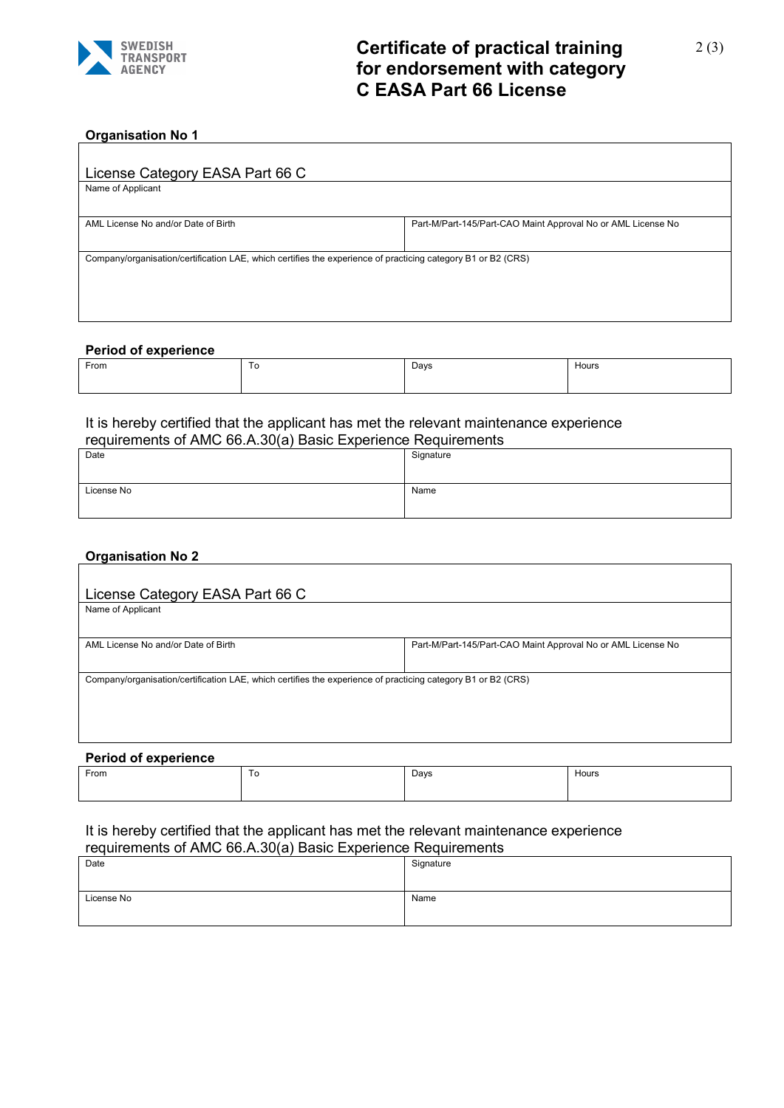

# **Certificate of practical training for endorsement with category C EASA Part 66 License**

# **Organisation No 1**

| License Category EASA Part 66 C                                                                              |                                                              |  |
|--------------------------------------------------------------------------------------------------------------|--------------------------------------------------------------|--|
| Name of Applicant                                                                                            |                                                              |  |
|                                                                                                              |                                                              |  |
| AML License No and/or Date of Birth                                                                          | Part-M/Part-145/Part-CAO Maint Approval No or AML License No |  |
|                                                                                                              |                                                              |  |
| Company/organisation/certification LAE, which certifies the experience of practicing category B1 or B2 (CRS) |                                                              |  |
|                                                                                                              |                                                              |  |
|                                                                                                              |                                                              |  |
|                                                                                                              |                                                              |  |

#### **Period of experience**

| From | ∽<br>ັບ | Days | Hours |
|------|---------|------|-------|
|      |         |      |       |

#### It is hereby certified that the applicant has met the relevant maintenance experience requirements of AMC 66.A.30(a) Basic Experience Requirements

| <u>TOGUILOITIO OF AND OUTSOURI DROID EXPONDITIO I ROGUILOITIO IL</u> |           |
|----------------------------------------------------------------------|-----------|
| Date                                                                 | Signature |
|                                                                      |           |
|                                                                      |           |
|                                                                      |           |
| License No                                                           | Name      |
|                                                                      |           |
|                                                                      |           |
|                                                                      |           |

### **Organisation No 2**

| License Category EASA Part 66 C                                                                              |                                                              |
|--------------------------------------------------------------------------------------------------------------|--------------------------------------------------------------|
| Name of Applicant                                                                                            |                                                              |
|                                                                                                              |                                                              |
| AML License No and/or Date of Birth                                                                          | Part-M/Part-145/Part-CAO Maint Approval No or AML License No |
|                                                                                                              |                                                              |
| Company/organisation/certification LAE, which certifies the experience of practicing category B1 or B2 (CRS) |                                                              |
|                                                                                                              |                                                              |
|                                                                                                              |                                                              |
|                                                                                                              |                                                              |

### **Period of experience**

| From | $\sim$<br>1 U | Days | Hours |
|------|---------------|------|-------|
|      |               |      |       |

# It is hereby certified that the applicant has met the relevant maintenance experience

| requirements of AMC 66.A.30(a) Basic Experience Requirements |           |
|--------------------------------------------------------------|-----------|
| Date                                                         | Signature |
|                                                              |           |
|                                                              |           |
| License No                                                   | Name      |
|                                                              |           |
|                                                              |           |